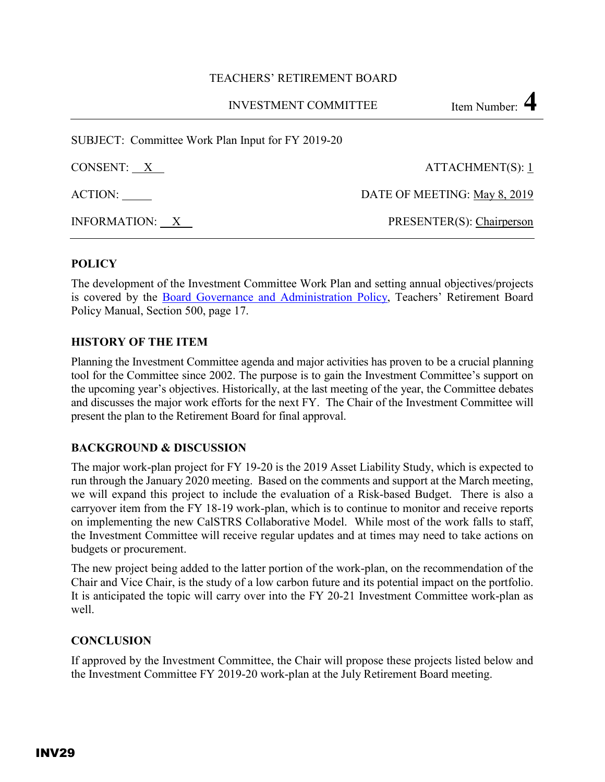### TEACHERS' RETIREMENT BOARD

INVESTMENT COMMITTEE Item Number: 4

SUBJECT: Committee Work Plan Input for FY 2019-20

| CONSENT: X     | ATTACHMENT(S): 1             |  |  |  |
|----------------|------------------------------|--|--|--|
| ACTION:        | DATE OF MEETING: May 8, 2019 |  |  |  |
| INFORMATION: X | PRESENTER(S): Chairperson    |  |  |  |

## **POLICY**

The development of the Investment Committee Work Plan and setting annual objectives/projects is covered by the [Board Governance and Administration Policy,](http://www.calstrs.com/sites/main/files/file-attachments/z_2014_0312_board_policy_manual_update_march_2014_v2.pdf) Teachers' Retirement Board Policy Manual, Section 500, page 17.

### **HISTORY OF THE ITEM**

Planning the Investment Committee agenda and major activities has proven to be a crucial planning tool for the Committee since 2002. The purpose is to gain the Investment Committee's support on the upcoming year's objectives. Historically, at the last meeting of the year, the Committee debates and discusses the major work efforts for the next FY. The Chair of the Investment Committee will present the plan to the Retirement Board for final approval.

### **BACKGROUND & DISCUSSION**

The major work-plan project for FY 19-20 is the 2019 Asset Liability Study, which is expected to run through the January 2020 meeting. Based on the comments and support at the March meeting, we will expand this project to include the evaluation of a Risk-based Budget. There is also a carryover item from the FY 18-19 work-plan, which is to continue to monitor and receive reports on implementing the new CalSTRS Collaborative Model. While most of the work falls to staff, the Investment Committee will receive regular updates and at times may need to take actions on budgets or procurement.

The new project being added to the latter portion of the work-plan, on the recommendation of the Chair and Vice Chair, is the study of a low carbon future and its potential impact on the portfolio. It is anticipated the topic will carry over into the FY 20-21 Investment Committee work-plan as well.

### **CONCLUSION**

If approved by the Investment Committee, the Chair will propose these projects listed below and the Investment Committee FY 2019-20 work-plan at the July Retirement Board meeting.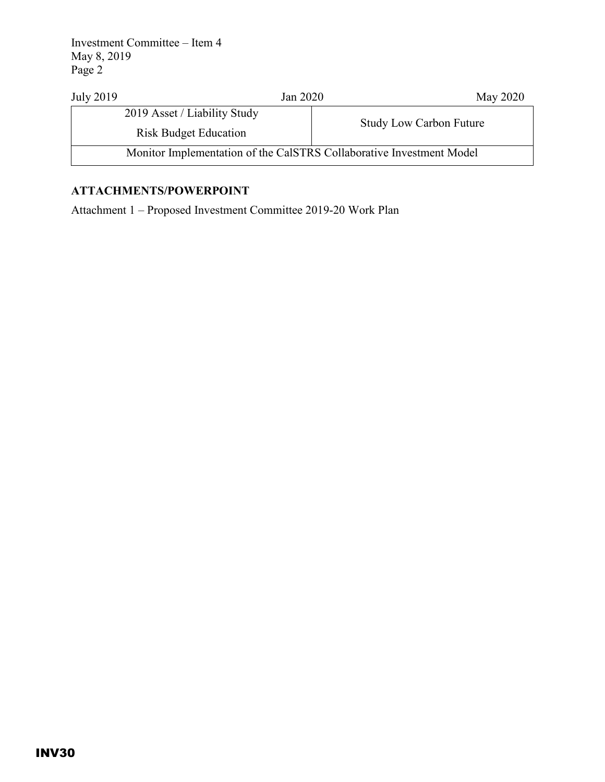Investment Committee – Item 4 May 8, 2019 Page 2

| <b>July 2019</b> | Jan 2020                                                             | May 2020                       |  |  |
|------------------|----------------------------------------------------------------------|--------------------------------|--|--|
|                  | 2019 Asset / Liability Study                                         |                                |  |  |
|                  | <b>Risk Budget Education</b>                                         | <b>Study Low Carbon Future</b> |  |  |
|                  | Monitor Implementation of the CalSTRS Collaborative Investment Model |                                |  |  |

# **ATTACHMENTS/POWERPOINT**

Attachment 1 – Proposed Investment Committee 2019-20 Work Plan